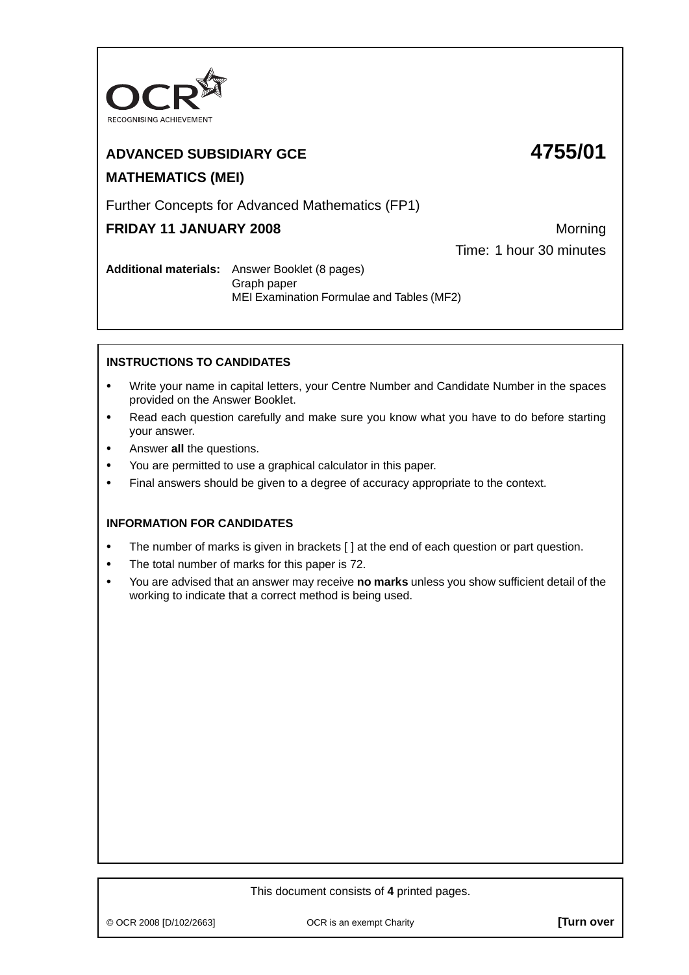

# **ADVANCED SUBSIDIARY GCE 4755/01 MATHEMATICS (MEI)**

# Further Concepts for Advanced Mathematics (FP1)

# **FRIDAY 11 JANUARY 2008** Morning

Time: 1 hour 30 minutes

**Additional materials:** Answer Booklet (8 pages) Graph paper MEI Examination Formulae and Tables (MF2)

## **INSTRUCTIONS TO CANDIDATES**

- **•** Write your name in capital letters, your Centre Number and Candidate Number in the spaces provided on the Answer Booklet.
- **•** Read each question carefully and make sure you know what you have to do before starting your answer.
- **•** Answer **all** the questions.
- **•** You are permitted to use a graphical calculator in this paper.
- **•** Final answers should be given to a degree of accuracy appropriate to the context.

## **INFORMATION FOR CANDIDATES**

- The number of marks is given in brackets [ ] at the end of each question or part question.
- **•** The total number of marks for this paper is 72.
- **•** You are advised that an answer may receive **no marks** unless you show sufficient detail of the working to indicate that a correct method is being used.

### This document consists of **4** printed pages.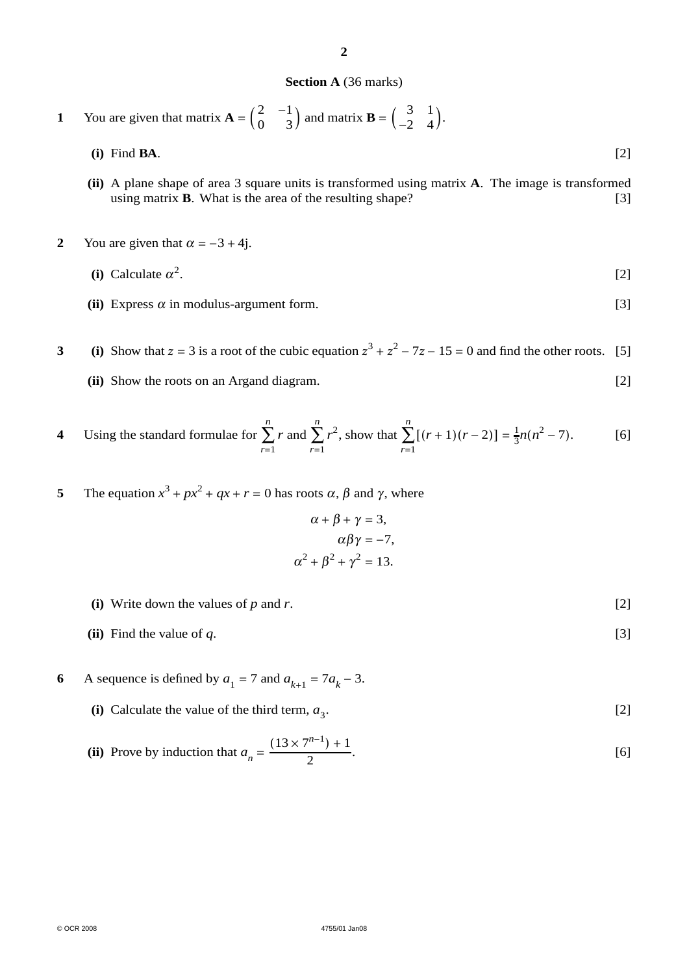#### **2**

#### **Section A** (36 marks)

1 You are given that matrix 
$$
\mathbf{A} = \begin{pmatrix} 2 & -1 \\ 0 & 3 \end{pmatrix}
$$
 and matrix  $\mathbf{B} = \begin{pmatrix} 3 & 1 \\ -2 & 4 \end{pmatrix}$ .  
(i) Find **BA**. [2]

- **(ii)** A plane shape of area 3 square units is transformed using matrix **A**. The image is transformed using matrix **B**. What is the area of the resulting shape? [3]
- **2** You are given that  $\alpha = -3 + 4j$ .

(i) Calculate 
$$
\alpha^2
$$
.  $[2]$ 

**(ii)** Express  $\alpha$  in modulus-argument form. [3]

**3** (i) Show that  $z = 3$  is a root of the cubic equation  $z^3 + z^2 - 7z - 15 = 0$  and find the other roots. [5] **(ii)** Show the roots on an Argand diagram. [2]

4 Using the standard formulae for 
$$
\sum_{r=1}^{n} r
$$
 and  $\sum_{r=1}^{n} r^2$ , show that  $\sum_{r=1}^{n} [(r+1)(r-2)] = \frac{1}{3}n(n^2 - 7)$ . [6]

**5** The equation  $x^3 + px^2 + qx + r = 0$  has roots  $\alpha$ ,  $\beta$  and  $\gamma$ , where

$$
\alpha + \beta + \gamma = 3,
$$
  
\n
$$
\alpha\beta\gamma = -7,
$$
  
\n
$$
\alpha^2 + \beta^2 + \gamma^2 = 13.
$$

- **(i)** Write down the values of *p* and *r*. [2]
- **(ii)** Find the value of  $q$ . [3]
- **6** A sequence is defined by  $a_1 = 7$  and  $a_{k+1} = 7a_k 3$ .
	- (i) Calculate the value of the third term,  $a_3$ . [2]

**(ii)** Prove by induction that 
$$
a_n = \frac{(13 \times 7^{n-1}) + 1}{2}
$$
.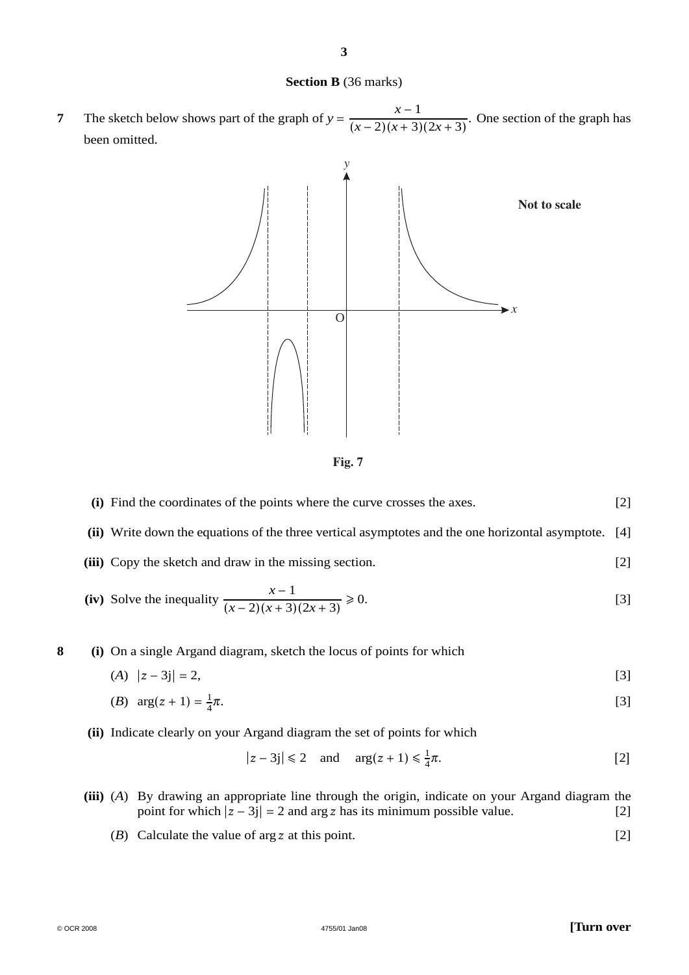#### **Section B** (36 marks)

**7** The sketch below shows part of the graph of  $y = \frac{x-1}{(x-2)(x+3)(2x+3)}$ . One section of the graph has been omitted.



**Fig. 7**

| (i) Find the coordinates of the points where the curve crosses the axes.                             | $[2]$ |
|------------------------------------------------------------------------------------------------------|-------|
| (ii) Write down the equations of the three vertical asymptotes and the one horizontal asymptote. [4] |       |

**(iii)** Copy the sketch and draw in the missing section. [2]

(iv) Solve the inequality 
$$
\frac{x-1}{(x-2)(x+3)(2x+3)} \ge 0.
$$
 [3]

**8 (i)** On a single Argand diagram, sketch the locus of points for which

 $(A) |z-3j|=2,$  [3]

(B) 
$$
\arg(z+1) = \frac{1}{4}\pi
$$
. [3]

**(ii)** Indicate clearly on your Argand diagram the set of points for which

$$
|z - 3j| \le 2 \quad \text{and} \quad \arg(z + 1) \le \frac{1}{4}\pi. \tag{2}
$$

- **(iii)** (*A*) By drawing an appropriate line through the origin, indicate on your Argand diagram the point for which  $|z - 3j| = 2$  and arg z has its minimum possible value. [2]
	- (*B*) Calculate the value of arg *z* at this point. [2]